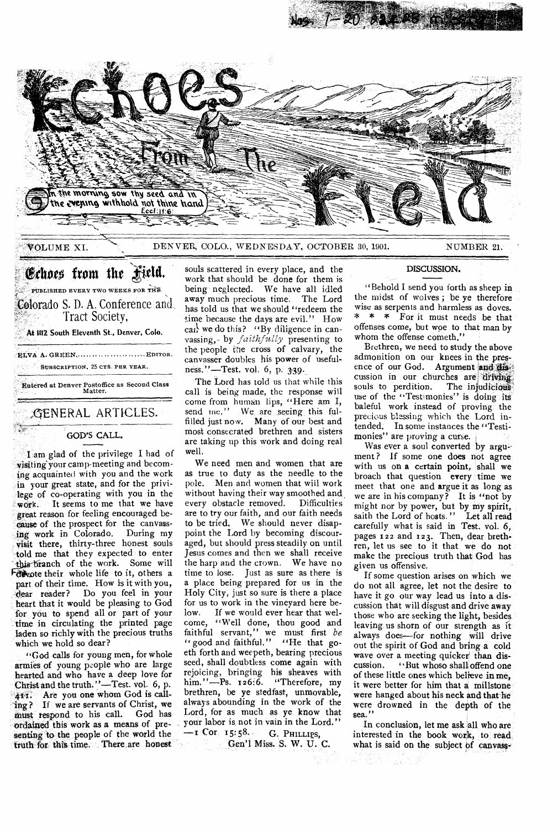

VOLUME XI. DENVER, COLO., WEDNESDAY, OCTOBER 30, 1901. NUMBER 21.

# Echoes from the Field.

PUBLISHED EVERY TWO WEEKS FOR THE Colorado S. D. A. Conference and Tract Society,

At **1112 South Eleventh St., Denver, Colo.** 

ELVA A. GREEN, ........................... EDITOR. SUBSCRIPTION, 25 CTS. PER YEAR.

Entered at Denver Postoffice as Second Class Matter.

,GENERAL ARTICLES.

## GOD'S CALL.

I am glad of the privilege I had of visitingyour camp-meeting and becoming acquainted with you and the work in your great state, and for the privilege of co-operating with you in the work. It seems to me that we have great reason for feeling encouraged because of the prospect for the canvass-<br>ing work in Colorado. During my ing work in Colorado. visit there, thirty-three honest souls told me that they expected to enter branch of the work. Some will Forware their whole life to it, others a part of their time. How is it with you,<br>dear reader? Do you feel in your Do you feel in your heart that it would be pleasing to God for you to spend all or part of your time in circulating the printed page laden so richly with the precious truths which we hold so dear?

"God calls for young men, for whole armies of young people who are large hearted and who have a deep love for Christ and the truth."—Test. vol. 6, p. 411. Are you one whom God is calling? If we are servants of Christ, we<br>must respond to his call. God has must respond to his call. ordained this work as a means of presenting to the people of the world the truth for this time. There are honest

souls scattered in every place, and the work that should be done for them is being neglected. We have all idled away much precious time. The Lord has told us that we should "redeem the time because the days are evil." How can we do this? "By diligence in canvassing,- by *faithfully* presenting to the people the cross of calvary, the canvasser doubles his power of usefulness."-Test. vol. 6, p. 339.

The Lord has told us that while this call is being made, the response will come from human lips, "Here am I, send me." We are seeing this fulfilled just now. Many of our best and most consecrated brethren and sisters are taking up this work and doing real well.

We need men and women that are as true to duty as the needle to the pole. Men and women that will work without having their way smoothed and<br>every obstacle removed. Difficulties every obstacle removed. are to try our faith, and our faith needs to be tried. We should never disappoint the Lord by becoming discouraged, but should press steadily on until Jesus comes and then we shall receive the harp and the crown. We have no time to lose. Just as sure as there is a place being prepared for us in the Holy City, just so sure is there a place for us to work in the vineyard here below. If we would ever hear that welcome, "Well done, thou good and faithful servant," we must first *be*  " good and faithful." "He that goeth forth and weepeth, bearing precious seed, shall doubtless come again with rejoicing, bringing his sheaves with him."—Ps. 126:6. "Therefore, my brethren, be ye stedfast, unmovable, always abounding in the work of the Lord, for as much as ye know that your labor is not in vain in the Lord."

—I **COT I** 5:58.. G. **PHILLIPS,**  Gen'l Miss. S. W. U. C.

## DISCUSSION.

"Behold I send you forth as sheep in the midst of wolves ; be ye therefore wise as serpents and harmless as doves. \* \* \* For it must needs be that offenses come, but woe to that man by whom the offense cometh.'

Brethren, we need to study the above admonition on our knees in the presence of our God. Argument and the cussion in our churches are driving souls to perdition. use of the "Testimonies" is doing its baleful work instead of proving the precious blessing which the Lord intended. In some instances the "Testimonies" are proving a curse.

Was ever a soul converted by argument? If some one does not agree with us on a certain point, shall we broach that question every time we meet that one and argue it as long as we are in his company? It is "not by might nor by power, but by my spirit, saith the Lord of hosts." Let all read carefully what is said in Test. vol. 6, pages 122 and r23. Then, dear brethren, let us see to it that we do not make the precious truth that God has given us offensive.

If some question arises on which we do not all agree, let not the desire to have it go our way lead us into a discussion that will disgust and drive away those who are seeking the light, besides leaving us shorn of our strength as it always does--for nothing will drive out the spirit of God and bring a cold wave over a meeting quicker than dis-<br>cussion. <br>'But whose shall offend one "But whoso shall offend one of these little ones which believe in me, it were better for him that a millstone were hanged about his neck and that he were drowned in the depth of the sea.'

In conclusion, let me ask all who are interested in the book work, to read, what is said on the subject of canvass-,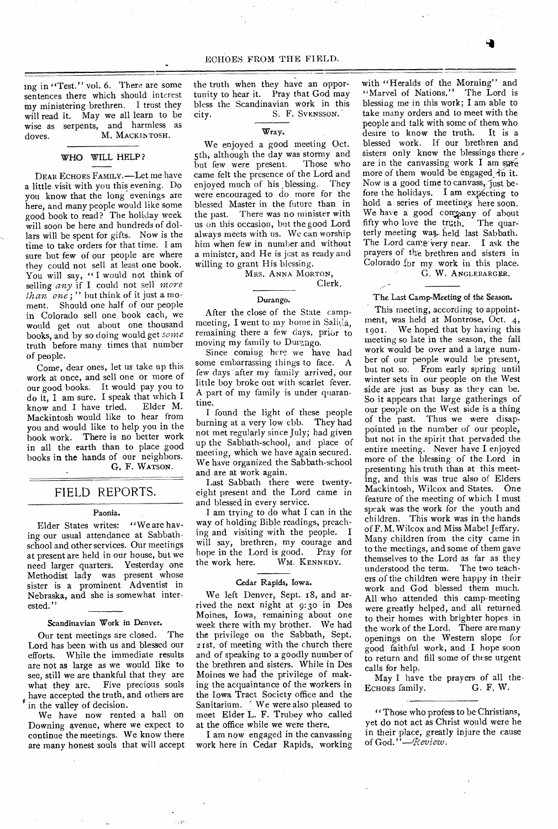ing in "Test." vol. 6. There are some sentences there which should interest my ministering brethren. I trust they will read it. May we all learn to be wise as serpents, and harmless as doves. M. MACKINTOSH.

#### WHO WILL HELP ?

DEAR ECHOES FAMILY.—Let me have a little visit with you this evening. Do you know that the long evenings are here, and many people would like some good book to read? The holiday week will soon be here and hundreds of dollars will be spent for gifts. Now is the time to take orders for that time. I am sure but few of our people are where they could not sell at least one book. You will say, "I would not think of selling *any* if I could not sell *more than one ;"* but think of it just a moment. Should one half of our people in Colorado sell one book each, we would get out about one thousand books, and by so doing would get *some*  truth before many times that number of people.

Come, dear ones, let us take up this work at once, and sell one or more of our good books. It would pay you to do it, I am sure. I speak that which I know and I have tried. Elder M. Mackintosh would like to hear from you and would like to help you in the book work. There is no better work in all the earth than to place good books in the hands of our neighbors. G. F. WATSON.

## FIELD REPORTS.

### Paonia.

Elder States writes: "We are having our usual attendance at Sabbathschool and other services. Our meetings at present are held in our house, but we need larger quarters. Yesterday one Methodist lady was present whose sister is a prominent Adventist in Nebraska, and she is somewhat interested."

#### Scandinavian Work in Denver.

Our tent meetings are closed. The Lord has been with us and blessed our<br>efforts. While the immediate results While the immediate results are not as large as we would like to see, still we are thankful that they are what they are. Five precious souls have accepted the truth, and others are in the valley of decision.

We have now rented a hall on Downing avenue, where we expect to continue the meetings. We know there are many honest souls that will accept the truth when they have an opportunity to hear it. Pray that God may bless the Scandinavian work in this city. S. F. Svensson.

## Wray.

We enjoyed a good meeting Oct. 5th, although the day was stormy and but few were present. Those who came felt the presence of the Lord and enjoyed much of his ,blessing. They were encouraged to do more for the blessed Master in the future than in the past. There was no minister with us on this occasion, but the good Lord always meets with us. We can worship him when few in number and without a minister, and He is just as ready and willing to grant His blessing.

MRS. ANNA MORTON,

#### Clerk.

### Durango.

After the close of the State campmeeting, I went to my home in Sali $\ddot{\theta}$ a, remaining there a few days, prior to moving my family to Durango.

Since coming here we have had some embarrassing things to face. A few clays-after my family arrived, our little boy broke out with scarlet fever. A part of my family is under quarantine.

I found the light of these people burning at a very low ebb. They had not met regularly since July; had given up the Sabbath-school, and place of meeting, which we have again secured. We have organized the Sabbath-school and are at work again.

Last Sabbath there were twentyeight present and the Lord came in and blessed in every service.

I am trying to do what I can in the way of holding Bible readings, preaching and visiting with the people. I will say, brethren, my courage and hope in the Lord is good. Pray for<br>the work here. WM. KENNEDY. WM. KENNEDY.

#### Cedar Rapids, Iowa.

We left Denver, Sept. 18, and arrived the next night at 9:3o in Des Moines, Iowa, remaining about one week there with my brother. We had the privilege on the Sabbath, Sept. 2rst. of meeting with the church there and of speaking to a goodly number of the brethren and sisters. While in Des Moines we had the privilege of making the acquaintance of the workers in the Iowa Tract Society office and the Sanitarium. <sup>of</sup> We were also pleased to meet Elder L. F. Trubey who called at the office while we were there.

I am now engaged in the canvassing work here in Cedar Rapids, working with "Heralds of the Morning" and "Marvel of Nations." The Lord is blessing me in this work; I am able to take many orders and to meet with the people and talk with some of them who<br>desire to know the truth. It is a desire to know the truth. blessed work. If our brethren and sisters only knew the blessings there. are in the canvassing work  $I$  am sure more of them would be engaged in it. Now is a good time to canvass, just before the holidays. I am expecting to hold a series of meetingg here soon. We have a good company of about fifty who love the truth. The quarterly meeting was held last Sabbath. The Lord came very near. I ask the prayers of the brethren and sisters in Colorado for my work in this place. G. W. ANGLEBARGER.

#### The Last Camp-Meeting of the Season.

This meeting, according to appointment, was held at Montrose, Oct. 4, 1901. We hoped that by having this meeting so late in the season, the fall work would be over and a large number of our people would be present, but not so. From early spring until winter sets in our people on the West side are just as busy as they can be. So it appears that large gatherings of our people on the West side is a thing of the past. Thus we were disappointed in the number of our people, but not in the spirit that pervaded the entire meeting. Never have I enjoyed more of the blessing of the Lord in presenting his truth than at this meeting, and this was true also of Elders Mackintosh, Wilcox and States. One feature of the meeting of which I must speak was the work for the youth and children. This work was in the hands of F. M. Wilcox and Miss Mabel Jeffary. Many children from the city came in to the meetings, and some of them gave themselves to the Lord as far as they understood the term. The two teachers of the children were happy in their work and God blessed them much. All who attended this camp-meeting were greatly helped, and all returned to their homes with brighter hopes in the work of the Lord. There are many openings on the Western slope for good faithful work, and I hope soon to return and fill some of these urgent calls for help.

May I have the prayers of all the.<br>CHOES family. G. F. W. ECHOES family.

"Those who profess to be Christians, yet do not act as Christ would were he in their place, greatly injure the cause of God. *"—(Review.*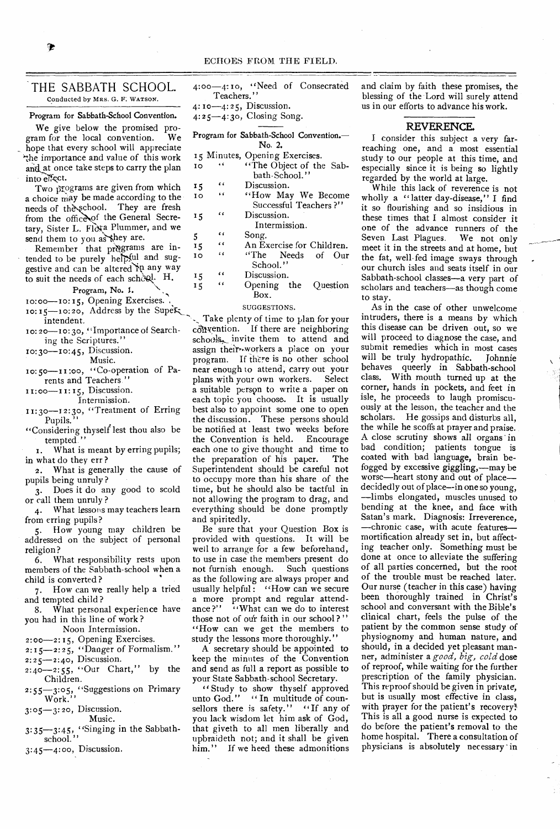## THE SABBATH SCHOOL. Conducted by MRS. G. F. WATSON.

#### Program for Sabbath-School Convention.

We give below the promised pro-<br>am for the local convention. We gram for the local convention. hope that every school will appreciate the importance and value of this work and at once take steps to carry the plan into el<sup>f</sup>ect.

Two programs are given from which a choice may be made according to the needs of the school. They are fresh from the office of the General Secretary, Sister L. Floxa Plummer, and we send them to you as they are.

Remember that programs are in-<br>tended to be purely herpful and suggestive and can be altered in any way to suit the needs of each scheel. H.

Program, No. 1.

10:00—10:15, Opening Exercises.

- $10:15$ -10:20, Address by the Super intendent.
- ro: 20-10: 30, "Importance of Searching the Scriptures."

10:30-10:45, Discussion.

Music.

1o: 50—ir :oo, "Co-operation of Parents and Teachers "

11:00-11:15, Discussion.

Intermission.

11:30-12:30, "Treatment of Erring Pupils."

"Considering thyself lest thou also be tempted."

I. What is meant by erring pupils; in what do they err ?

2. What is generally the cause of pupils being unruly ?

3. Does it do any good to scold or call them unruly ?

4. What lessons may teachers learn from erring pupils?

5. How young may children be addressed on the subject of personal religion?

6. What responsibility rests upon members of the Sabbath-school when a child is converted ?

7. How can we really help a tried and tempted child ?

8. What personal experience have you had in this line of work ?

Noon Intermission.

2:00-2:15, Opening Exercises.

2:15-2:25, "Danger of Formalism.''

2:25-2:40, Discussion.

 $2:40-2:55$ , "Our Chart," by the Children.

Children. 2:55-3:05, "Suggestions on Primary

Work."  $3:05-3:20$ , Discussion.<br>Music.

Music.

3:05-3:20, Discussion.<br>
Music.<br>
3:35-3:45, "Singing in the Sabbath-<br>
school."

3:45-4:00, Discussion.

- 4:00-4:10, "Need of Consecrated Teachers."
- $4: 10 4: 25$ , Discussion.
- 4:25-4:3o, Closing Song.
- Program for Sabbath-School Convention.— No. 2. 15 Minutes, Opening Exercises.<br>10 ... ... ... The Object of the TO "The Object of the Sabbath-School."  $\begin{array}{ccc} \n\text{15} & \n\text{16} & \text{Discussion.} \\
\text{17} & \text{18} & \text{19} \\
\text{18} & \text{19} & \text{19}\n\end{array}$ 10 " "How May We Become Successful Teachers ?" 15 "Discussion. Intermission.  $\frac{1}{5}$   $\frac{1}{6}$   $\frac{1}{6}$   $\frac{1}{6}$   $\frac{1}{6}$   $\frac{1}{6}$   $\frac{1}{6}$   $\frac{1}{6}$   $\frac{1}{6}$   $\frac{1}{6}$   $\frac{1}{6}$   $\frac{1}{6}$   $\frac{1}{6}$   $\frac{1}{6}$   $\frac{1}{6}$   $\frac{1}{6}$   $\frac{1}{6}$   $\frac{1}{6}$   $\frac{1}{6}$   $\frac{1}{6}$   $\frac{1}{6}$   $\frac{1}{6}$   $\frac{1}{15}$  An Exercise for Children. ro "The Needs of Our School." 15 " Discussion. 15 Opening the Question Box.

#### SUGGESTIONS.

Take plenty of time to plan for your  $cosh$  vention. If there are neighboring schools, invite them to attend and assign their workers a place on your program. If there is no other school near enough to attend, carry out your<br>plans with your own workers. Select plans with your own workers. a suitable person to write a paper on each topic you choose. It is usually best also to appoint some one to open the discussion. These persons should be notified at least two weeks before<br>the Convention is held. Encourage the Convention is held. each one to give thought and time to<br>the preparation of his paper. The the preparation of his paper. Superintendent should be careful not to occupy more than his share of the time, but he should also be tactful in not allowing the program to drag, and everything should be done promptly and spiritedly.

Be sure that your Question Box is provided with questions. It will be well to arrange for a few beforehand, to use in case the members present do<br>not furnish enough. Such questions not furnish enough. as the following are always proper and usually helpful: "How can we secure a more prompt and regular attend-<br>ance?" "What can we do to interest "What can we do to interest those not of our faith in our school?" "How can we get the members to study the lessons more thoroughly."

A secretary should be appointed to keep the minutes of the Convention and send as full a report as possible to your State Sabbath.school Secretary.

" Study to show thyself approved unto God." "In multitude of counsellors there is safety." "If any of you lack wisdom let him ask of God, that giveth to all men liberally and upbraideth not; and it shall be given him." If we heed these admonitions and claim by faith these promises, the blessing of the Lord will surely attend us in our efforts to advance his work.

## REVERENCE.

I consider this subject a very farreaching one, and a most essential study to our people at this time, and especially since it is being so lightly regarded by the world at large.

While this lack of reverence is not wholly a "latter day-disease," I find it so flourishing and so insidious in these times that I almost consider it one of the advance runners of the<br>Seven Last Plagues. We not only Seven Last Plagues. meet it in the streets and at home, but the fat, well-fed image sways through our church isles and seats itself in our Sabbath-school classes—a very part of scholars and teachers—as though come to stay.

As in the case of other unwelcome intruders, there is a means by which this disease can be driven out, so we will proceed to diagnose the case, and submit remedies which in most cases will be truly hydropathic. Johnnie behaves queerly in Sabbath-school class. With mouth turned up at the corner, hands in pockets, and feet in isle, he proceeds to laugh promiscuously at the lesson, the teacher and the scholars. He gossips and disturbs all, the while he scoffs at prayer and praise. A close scrutiny shows all organs in bad condition; patients tongue is coated with bad language, brain befogged by excessive giggling,—may be worse—heart stony and out of place decidedly out of place--in one so young, —limbs elongated, muscles unused to bending at the knee, and face with Satan's mark. Diagnosis: Irreverence, —chronic case, with acute features mortification already set in, but affecting teacher only. Something must be done at once to alleviate the suffering of all parties concerned, but the root of the trouble must be reached later. Our nurse (teacher in this case) having been thoroughly trained in Christ's school and conversant with the Bible's clinical chart, feels the pulse of the patient by the common sense study of physiognomy and human nature, and should, in a decided yet pleasant manner, administer a *good, big, cold* dose of reproof, while waiting for the further prescription of the family physician. This reproof should be given in private, but is usually most effective in class, with prayer for the patient's recovery! This is all a good nurse is expected to do before the patient's removal to the home hospital. There a consultation of physicians is absolutely necessary in

Þ

- -